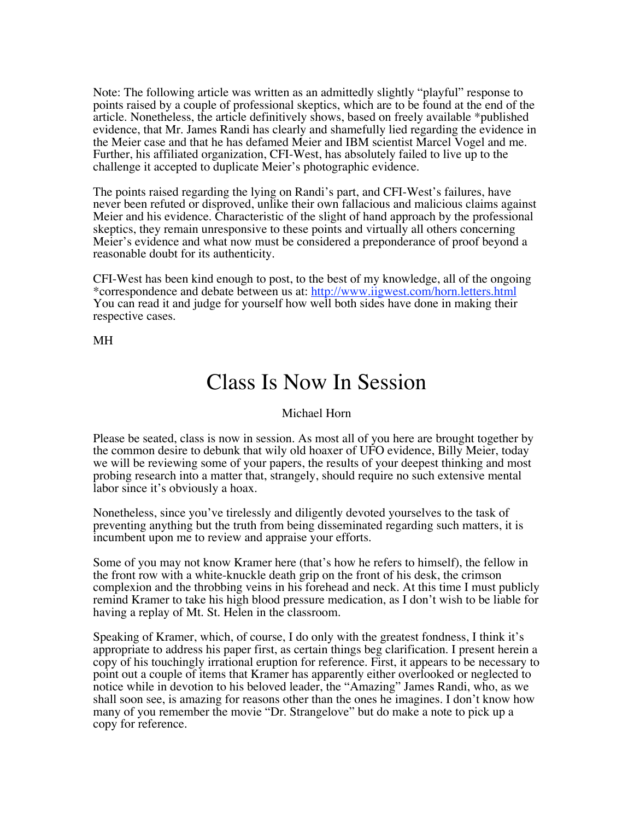Note: The following article was written as an admittedly slightly "playful" response to points raised by a couple of professional skeptics, which are to be found at the end of the article. Nonetheless, the article definitively shows, based on freely available \*published evidence, that Mr. James Randi has clearly and shamefully lied regarding the evidence in the Meier case and that he has defamed Meier and IBM scientist Marcel Vogel and me. Further, his affiliated organization, CFI-West, has absolutely failed to live up to the challenge it accepted to duplicate Meier's photographic evidence.

The points raised regarding the lying on Randi's part, and CFI-West's failures, have never been refuted or disproved, unlike their own fallacious and malicious claims against Meier and his evidence. Characteristic of the slight of hand approach by the professional skeptics, they remain unresponsive to these points and virtually all others concerning Meier's evidence and what now must be considered a preponderance of proof beyond a reasonable doubt for its authenticity.

CFI-West has been kind enough to post, to the best of my knowledge, all of the ongoing \*correspondence and debate between us at: http://www.iigwest.com/horn.letters.html You can read it and judge for yourself how well both sides have done in making their respective cases.

MH

## Class Is Now In Session

## Michael Horn

Please be seated, class is now in session. As most all of you here are brought together by the common desire to debunk that wily old hoaxer of UFO evidence, Billy Meier, today we will be reviewing some of your papers, the results of your deepest thinking and most probing research into a matter that, strangely, should require no such extensive mental labor since it's obviously a hoax.

Nonetheless, since you've tirelessly and diligently devoted yourselves to the task of preventing anything but the truth from being disseminated regarding such matters, it is incumbent upon me to review and appraise your efforts.

Some of you may not know Kramer here (that's how he refers to himself), the fellow in the front row with a white-knuckle death grip on the front of his desk, the crimson complexion and the throbbing veins in his forehead and neck. At this time I must publicly remind Kramer to take his high blood pressure medication, as I don't wish to be liable for having a replay of Mt. St. Helen in the classroom.

Speaking of Kramer, which, of course, I do only with the greatest fondness, I think it's appropriate to address his paper first, as certain things beg clarification. I present herein a copy of his touchingly irrational eruption for reference. First, it appears to be necessary to point out a couple of items that Kramer has apparently either overlooked or neglected to notice while in devotion to his beloved leader, the "Amazing" James Randi, who, as we shall soon see, is amazing for reasons other than the ones he imagines. I don't know how many of you remember the movie "Dr. Strangelove" but do make a note to pick up a copy for reference.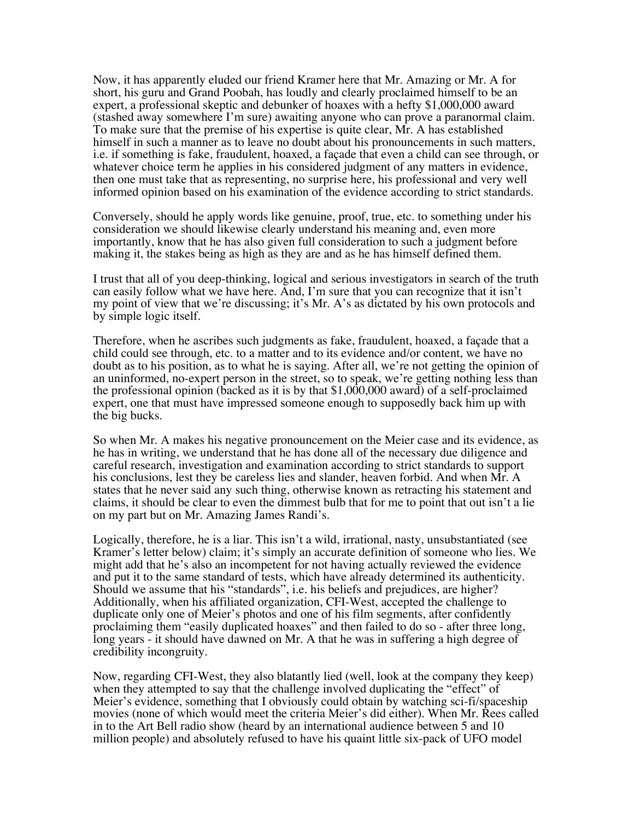Now, it has apparently eluded our friend Kramer here that Mr. Amazing or Mr. A for short, his guru and Grand Poobah, has loudly and clearly proclaimed himself to be an expert, a professional skeptic and debunker of hoaxes with a hefty \$1,000,000 award (stashed away somewhere I'm sure) awaiting anyone who can prove a paranormal claim. To make sure that the premise of his expertise is quite clear, Mr. A has established himself in such a manner as to leave no doubt about his pronouncements in such matters, i.e. if something is fake, fraudulent, hoaxed, a façade that even a child can see through, or whatever choice term he applies in his considered judgment of any matters in evidence, then one must take that as representing, no surprise here, his professional and very well informed opinion based on his examination of the evidence according to strict standards.

Conversely, should he apply words like genuine, proof, true, etc. to something under his consideration we should likewise clearly understand his meaning and, even more importantly, know that he has also given full consideration to such a judgment before making it, the stakes being as high as they are and as he has himself defined them.

I trust that all of you deep-thinking, logical and serious investigators in search of the truth can easily follow what we have here. And, I'm sure that you can recognize that it isn't my point of view that we're discussing; it's Mr. A's as dictated by his own protocols and by simple logic itself.

Therefore, when he ascribes such judgments as fake, fraudulent, hoaxed, a façade that a child could see through, etc. to a matter and to its evidence and/or content, we have no doubt as to his position, as to what he is saying. After all, we're not getting the opinion of an uninformed, no-expert person in the street, so to speak, we're getting nothing less than the professional opinion (backed as it is by that \$1,000,000 award) of a self-proclaimed expert, one that must have impressed someone enough to supposedly back him up with the big bucks.

So when Mr. A makes his negative pronouncement on the Meier case and its evidence, as he has in writing, we understand that he has done all of the necessary due diligence and careful research, investigation and examination according to strict standards to support his conclusions, lest they be careless lies and slander, heaven forbid. And when Mr. A states that he never said any such thing, otherwise known as retracting his statement and claims, it should be clear to even the dimmest bulb that for me to point that out isn't a lie on my part but on Mr. Amazing James Randi's.

Logically, therefore, he is a liar. This isn't a wild, irrational, nasty, unsubstantiated (see Kramer's letter below) claim; it's simply an accurate definition of someone who lies. We might add that he's also an incompetent for not having actually reviewed the evidence and put it to the same standard of tests, which have already determined its authenticity. Should we assume that his "standards", i.e. his beliefs and prejudices, are higher? Additionally, when his affiliated organization, CFI-West, accepted the challenge to duplicate only one of Meier's photos and one of his film segments, after confidently proclaiming them "easily duplicated hoaxes" and then failed to do so - after three long, long years - it should have dawned on Mr. A that he was in suffering a high degree of credibility incongruity.

Now, regarding CFI-West, they also blatantly lied (well, look at the company they keep) when they attempted to say that the challenge involved duplicating the "effect" of Meier's evidence, something that I obviously could obtain by watching sci-fi/spaceship movies (none of which would meet the criteria Meier's did either). When Mr. Rees called in to the Art Bell radio show (heard by an international audience between 5 and 10 million people) and absolutely refused to have his quaint little six-pack of UFO model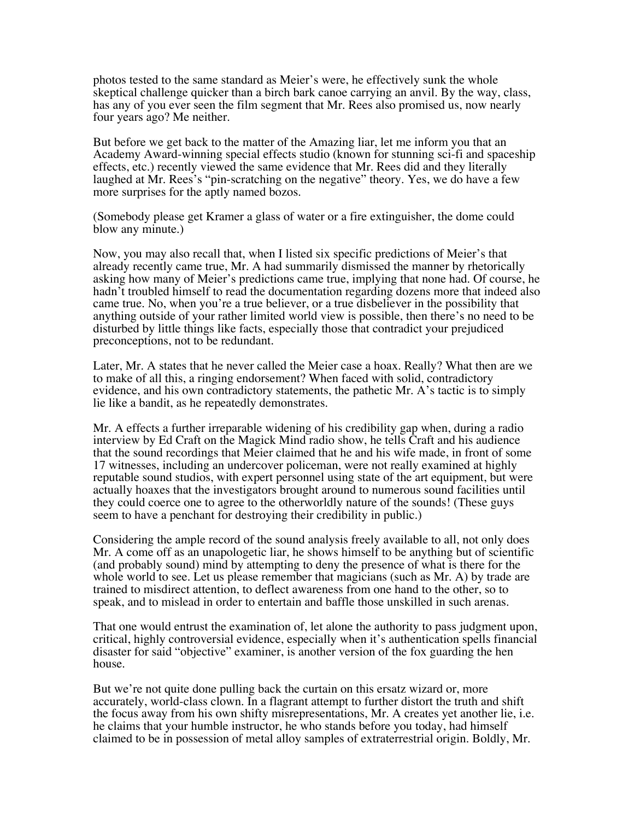photos tested to the same standard as Meier's were, he effectively sunk the whole skeptical challenge quicker than a birch bark canoe carrying an anvil. By the way, class, has any of you ever seen the film segment that Mr. Rees also promised us, now nearly four years ago? Me neither.

But before we get back to the matter of the Amazing liar, let me inform you that an Academy Award-winning special effects studio (known for stunning sci-fi and spaceship effects, etc.) recently viewed the same evidence that Mr. Rees did and they literally laughed at Mr. Rees's "pin-scratching on the negative" theory. Yes, we do have a few more surprises for the aptly named bozos.

(Somebody please get Kramer a glass of water or a fire extinguisher, the dome could blow any minute.)

Now, you may also recall that, when I listed six specific predictions of Meier's that already recently came true, Mr. A had summarily dismissed the manner by rhetorically asking how many of Meier's predictions came true, implying that none had. Of course, he hadn't troubled himself to read the documentation regarding dozens more that indeed also came true. No, when you're a true believer, or a true disbeliever in the possibility that anything outside of your rather limited world view is possible, then there's no need to be disturbed by little things like facts, especially those that contradict your prejudiced preconceptions, not to be redundant.

Later, Mr. A states that he never called the Meier case a hoax. Really? What then are we to make of all this, a ringing endorsement? When faced with solid, contradictory evidence, and his own contradictory statements, the pathetic Mr. A's tactic is to simply lie like a bandit, as he repeatedly demonstrates.

Mr. A effects a further irreparable widening of his credibility gap when, during a radio interview by Ed Craft on the Magick Mind radio show, he tells Craft and his audience that the sound recordings that Meier claimed that he and his wife made, in front of some 17 witnesses, including an undercover policeman, were not really examined at highly reputable sound studios, with expert personnel using state of the art equipment, but were actually hoaxes that the investigators brought around to numerous sound facilities until they could coerce one to agree to the otherworldly nature of the sounds! (These guys seem to have a penchant for destroying their credibility in public.)

Considering the ample record of the sound analysis freely available to all, not only does Mr. A come off as an unapologetic liar, he shows himself to be anything but of scientific (and probably sound) mind by attempting to deny the presence of what is there for the whole world to see. Let us please remember that magicians (such as Mr. A) by trade are trained to misdirect attention, to deflect awareness from one hand to the other, so to speak, and to mislead in order to entertain and baffle those unskilled in such arenas.

That one would entrust the examination of, let alone the authority to pass judgment upon, critical, highly controversial evidence, especially when it's authentication spells financial disaster for said "objective" examiner, is another version of the fox guarding the hen house.

But we're not quite done pulling back the curtain on this ersatz wizard or, more accurately, world-class clown. In a flagrant attempt to further distort the truth and shift the focus away from his own shifty misrepresentations, Mr. A creates yet another lie, i.e. he claims that your humble instructor, he who stands before you today, had himself claimed to be in possession of metal alloy samples of extraterrestrial origin. Boldly, Mr.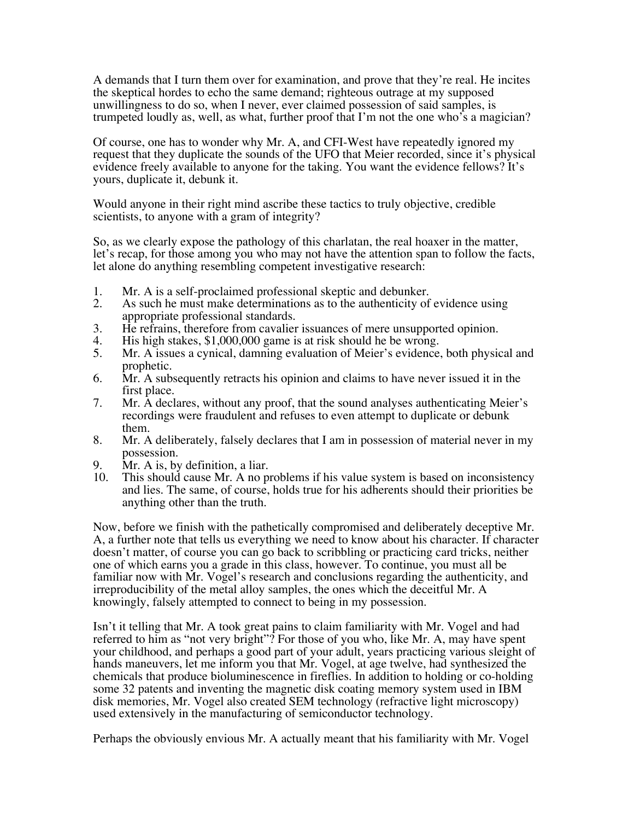A demands that I turn them over for examination, and prove that they're real. He incites the skeptical hordes to echo the same demand; righteous outrage at my supposed unwillingness to do so, when I never, ever claimed possession of said samples, is trumpeted loudly as, well, as what, further proof that I'm not the one who's a magician?

Of course, one has to wonder why Mr. A, and CFI-West have repeatedly ignored my request that they duplicate the sounds of the UFO that Meier recorded, since it's physical evidence freely available to anyone for the taking. You want the evidence fellows? It's yours, duplicate it, debunk it.

Would anyone in their right mind ascribe these tactics to truly objective, credible scientists, to anyone with a gram of integrity?

So, as we clearly expose the pathology of this charlatan, the real hoaxer in the matter, let's recap, for those among you who may not have the attention span to follow the facts, let alone do anything resembling competent investigative research:

- 1. Mr. A is a self-proclaimed professional skeptic and debunker.<br>2. As such he must make determinations as to the authenticity of
- As such he must make determinations as to the authenticity of evidence using appropriate professional standards.
- 3. He refrains, therefore from cavalier issuances of mere unsupported opinion.<br>4. His high stakes, \$1,000,000 game is at risk should he be wrong.
- 4. His high stakes, \$1,000,000 game is at risk should he be wrong.<br>5. Mr. A issues a cynical, damning evaluation of Meier's evidence
- Mr. A issues a cynical, damning evaluation of Meier's evidence, both physical and prophetic.
- 6. Mr. A subsequently retracts his opinion and claims to have never issued it in the first place.
- 7. Mr. A declares, without any proof, that the sound analyses authenticating Meier's recordings were fraudulent and refuses to even attempt to duplicate or debunk them.
- 8. Mr. A deliberately, falsely declares that I am in possession of material never in my possession.
- 9. Mr. A is, by definition, a liar.<br>10. This should cause Mr. A no p.
- This should cause Mr. A no problems if his value system is based on inconsistency and lies. The same, of course, holds true for his adherents should their priorities be anything other than the truth.

Now, before we finish with the pathetically compromised and deliberately deceptive Mr. A, a further note that tells us everything we need to know about his character. If character doesn't matter, of course you can go back to scribbling or practicing card tricks, neither one of which earns you a grade in this class, however. To continue, you must all be familiar now with Mr. Vogel's research and conclusions regarding the authenticity, and irreproducibility of the metal alloy samples, the ones which the deceitful Mr. A knowingly, falsely attempted to connect to being in my possession.

Isn't it telling that Mr. A took great pains to claim familiarity with Mr. Vogel and had referred to him as "not very bright"? For those of you who, like Mr. A, may have spent your childhood, and perhaps a good part of your adult, years practicing various sleight of hands maneuvers, let me inform you that Mr. Vogel, at age twelve, had synthesized the chemicals that produce bioluminescence in fireflies. In addition to holding or co-holding some 32 patents and inventing the magnetic disk coating memory system used in IBM disk memories, Mr. Vogel also created SEM technology (refractive light microscopy) used extensively in the manufacturing of semiconductor technology.

Perhaps the obviously envious Mr. A actually meant that his familiarity with Mr. Vogel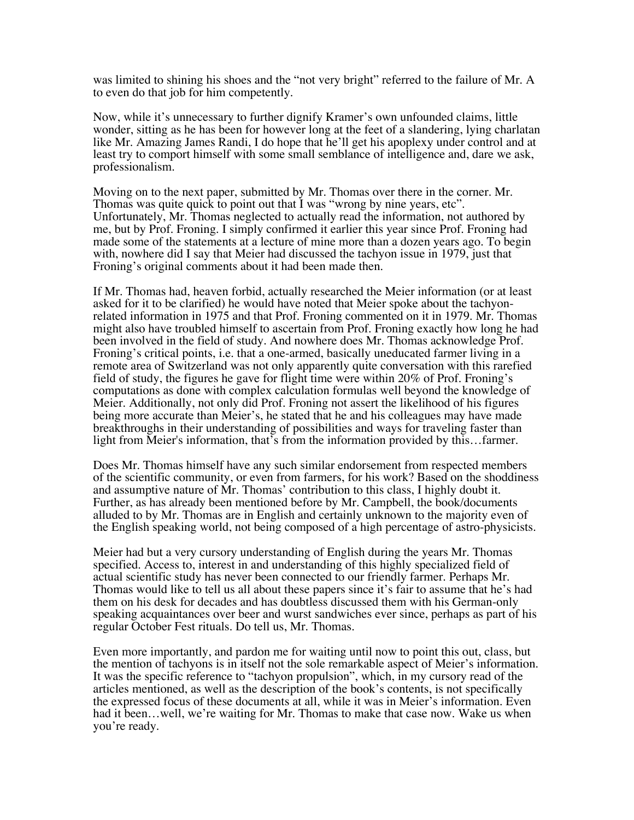was limited to shining his shoes and the "not very bright" referred to the failure of Mr. A to even do that job for him competently.

Now, while it's unnecessary to further dignify Kramer's own unfounded claims, little wonder, sitting as he has been for however long at the feet of a slandering, lying charlatan like Mr. Amazing James Randi, I do hope that he'll get his apoplexy under control and at least try to comport himself with some small semblance of intelligence and, dare we ask, professionalism.

Moving on to the next paper, submitted by Mr. Thomas over there in the corner. Mr. Thomas was quite quick to point out that I was "wrong by nine years, etc". Unfortunately, Mr. Thomas neglected to actually read the information, not authored by me, but by Prof. Froning. I simply confirmed it earlier this year since Prof. Froning had made some of the statements at a lecture of mine more than a dozen years ago. To begin with, nowhere did I say that Meier had discussed the tachyon issue in 1979, just that Froning's original comments about it had been made then.

If Mr. Thomas had, heaven forbid, actually researched the Meier information (or at least asked for it to be clarified) he would have noted that Meier spoke about the tachyonrelated information in 1975 and that Prof. Froning commented on it in 1979. Mr. Thomas might also have troubled himself to ascertain from Prof. Froning exactly how long he had been involved in the field of study. And nowhere does Mr. Thomas acknowledge Prof. Froning's critical points, i.e. that a one-armed, basically uneducated farmer living in a remote area of Switzerland was not only apparently quite conversation with this rarefied field of study, the figures he gave for flight time were within 20% of Prof. Froning's computations as done with complex calculation formulas well beyond the knowledge of Meier. Additionally, not only did Prof. Froning not assert the likelihood of his figures being more accurate than Meier's, he stated that he and his colleagues may have made breakthroughs in their understanding of possibilities and ways for traveling faster than light from Meier's information, that's from the information provided by this…farmer.

Does Mr. Thomas himself have any such similar endorsement from respected members of the scientific community, or even from farmers, for his work? Based on the shoddiness and assumptive nature of Mr. Thomas' contribution to this class, I highly doubt it. Further, as has already been mentioned before by Mr. Campbell, the book/documents alluded to by Mr. Thomas are in English and certainly unknown to the majority even of the English speaking world, not being composed of a high percentage of astro-physicists.

Meier had but a very cursory understanding of English during the years Mr. Thomas specified. Access to, interest in and understanding of this highly specialized field of actual scientific study has never been connected to our friendly farmer. Perhaps Mr. Thomas would like to tell us all about these papers since it's fair to assume that he's had them on his desk for decades and has doubtless discussed them with his German-only speaking acquaintances over beer and wurst sandwiches ever since, perhaps as part of his regular October Fest rituals. Do tell us, Mr. Thomas.

Even more importantly, and pardon me for waiting until now to point this out, class, but the mention of tachyons is in itself not the sole remarkable aspect of Meier's information. It was the specific reference to "tachyon propulsion", which, in my cursory read of the articles mentioned, as well as the description of the book's contents, is not specifically the expressed focus of these documents at all, while it was in Meier's information. Even had it been…well, we're waiting for Mr. Thomas to make that case now. Wake us when you're ready.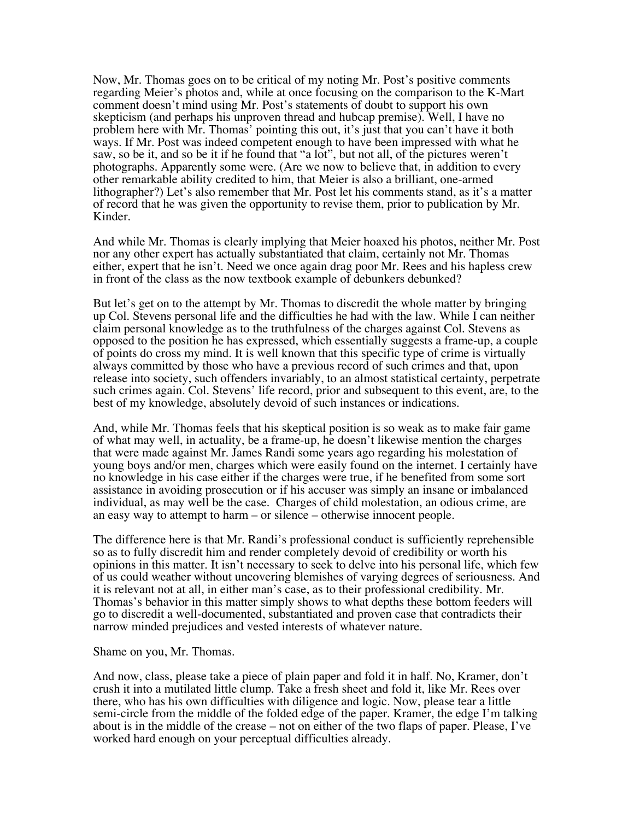Now, Mr. Thomas goes on to be critical of my noting Mr. Post's positive comments regarding Meier's photos and, while at once focusing on the comparison to the K-Mart comment doesn't mind using Mr. Post's statements of doubt to support his own skepticism (and perhaps his unproven thread and hubcap premise). Well, I have no problem here with Mr. Thomas' pointing this out, it's just that you can't have it both ways. If Mr. Post was indeed competent enough to have been impressed with what he saw, so be it, and so be it if he found that "a lot", but not all, of the pictures weren't photographs. Apparently some were. (Are we now to believe that, in addition to every other remarkable ability credited to him, that Meier is also a brilliant, one-armed lithographer?) Let's also remember that Mr. Post let his comments stand, as it's a matter of record that he was given the opportunity to revise them, prior to publication by Mr. Kinder.

And while Mr. Thomas is clearly implying that Meier hoaxed his photos, neither Mr. Post nor any other expert has actually substantiated that claim, certainly not Mr. Thomas either, expert that he isn't. Need we once again drag poor Mr. Rees and his hapless crew in front of the class as the now textbook example of debunkers debunked?

But let's get on to the attempt by Mr. Thomas to discredit the whole matter by bringing up Col. Stevens personal life and the difficulties he had with the law. While I can neither claim personal knowledge as to the truthfulness of the charges against Col. Stevens as opposed to the position he has expressed, which essentially suggests a frame-up, a couple of points do cross my mind. It is well known that this specific type of crime is virtually always committed by those who have a previous record of such crimes and that, upon release into society, such offenders invariably, to an almost statistical certainty, perpetrate such crimes again. Col. Stevens' life record, prior and subsequent to this event, are, to the best of my knowledge, absolutely devoid of such instances or indications.

And, while Mr. Thomas feels that his skeptical position is so weak as to make fair game of what may well, in actuality, be a frame-up, he doesn't likewise mention the charges that were made against Mr. James Randi some years ago regarding his molestation of young boys and/or men, charges which were easily found on the internet. I certainly have no knowledge in his case either if the charges were true, if he benefited from some sort assistance in avoiding prosecution or if his accuser was simply an insane or imbalanced individual, as may well be the case. Charges of child molestation, an odious crime, are an easy way to attempt to harm – or silence – otherwise innocent people.

The difference here is that Mr. Randi's professional conduct is sufficiently reprehensible so as to fully discredit him and render completely devoid of credibility or worth his opinions in this matter. It isn't necessary to seek to delve into his personal life, which few of us could weather without uncovering blemishes of varying degrees of seriousness. And it is relevant not at all, in either man's case, as to their professional credibility. Mr. Thomas's behavior in this matter simply shows to what depths these bottom feeders will go to discredit a well-documented, substantiated and proven case that contradicts their narrow minded prejudices and vested interests of whatever nature.

Shame on you, Mr. Thomas.

And now, class, please take a piece of plain paper and fold it in half. No, Kramer, don't crush it into a mutilated little clump. Take a fresh sheet and fold it, like Mr. Rees over there, who has his own difficulties with diligence and logic. Now, please tear a little semi-circle from the middle of the folded edge of the paper. Kramer, the edge I'm talking about is in the middle of the crease – not on either of the two flaps of paper. Please, I've worked hard enough on your perceptual difficulties already.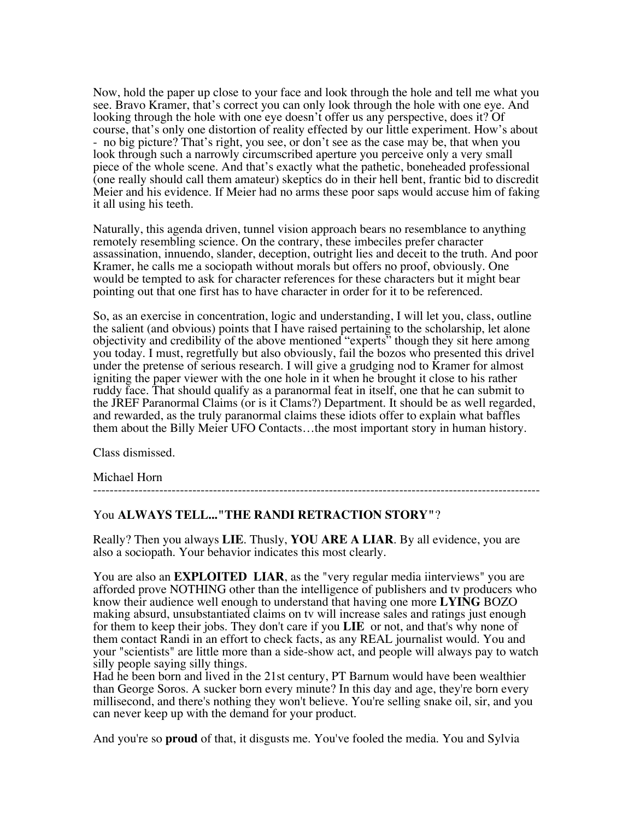Now, hold the paper up close to your face and look through the hole and tell me what you see. Bravo Kramer, that's correct you can only look through the hole with one eye. And looking through the hole with one eye doesn't offer us any perspective, does it? Of course, that's only one distortion of reality effected by our little experiment. How's about - no big picture? That's right, you see, or don't see as the case may be, that when you look through such a narrowly circumscribed aperture you perceive only a very small piece of the whole scene. And that's exactly what the pathetic, boneheaded professional (one really should call them amateur) skeptics do in their hell bent, frantic bid to discredit Meier and his evidence. If Meier had no arms these poor saps would accuse him of faking it all using his teeth.

Naturally, this agenda driven, tunnel vision approach bears no resemblance to anything remotely resembling science. On the contrary, these imbeciles prefer character assassination, innuendo, slander, deception, outright lies and deceit to the truth. And poor Kramer, he calls me a sociopath without morals but offers no proof, obviously. One would be tempted to ask for character references for these characters but it might bear pointing out that one first has to have character in order for it to be referenced.

So, as an exercise in concentration, logic and understanding, I will let you, class, outline the salient (and obvious) points that I have raised pertaining to the scholarship, let alone objectivity and credibility of the above mentioned "experts" though they sit here among you today. I must, regretfully but also obviously, fail the bozos who presented this drivel under the pretense of serious research. I will give a grudging nod to Kramer for almost igniting the paper viewer with the one hole in it when he brought it close to his rather ruddy face. That should qualify as a paranormal feat in itself, one that he can submit to the JREF Paranormal Claims (or is it Clams?) Department. It should be as well regarded, and rewarded, as the truly paranormal claims these idiots offer to explain what baffles them about the Billy Meier UFO Contacts…the most important story in human history.

Class dismissed.

## Michael Horn

------------------------------------------------------------------------------------------------------------

## You **ALWAYS TELL..."THE RANDI RETRACTION STORY"**?

Really? Then you always **LIE**. Thusly, **YOU ARE A LIAR**. By all evidence, you are also a sociopath. Your behavior indicates this most clearly.

You are also an **EXPLOITED LIAR**, as the "very regular media iinterviews" you are afforded prove NOTHING other than the intelligence of publishers and tv producers who know their audience well enough to understand that having one more **LYING** BOZO making absurd, unsubstantiated claims on tv will increase sales and ratings just enough for them to keep their jobs. They don't care if you **LIE** or not, and that's why none of them contact Randi in an effort to check facts, as any REAL journalist would. You and your "scientists" are little more than a side-show act, and people will always pay to watch silly people saying silly things.

Had he been born and lived in the 21st century, PT Barnum would have been wealthier than George Soros. A sucker born every minute? In this day and age, they're born every millisecond, and there's nothing they won't believe. You're selling snake oil, sir, and you can never keep up with the demand for your product.

And you're so **proud** of that, it disgusts me. You've fooled the media. You and Sylvia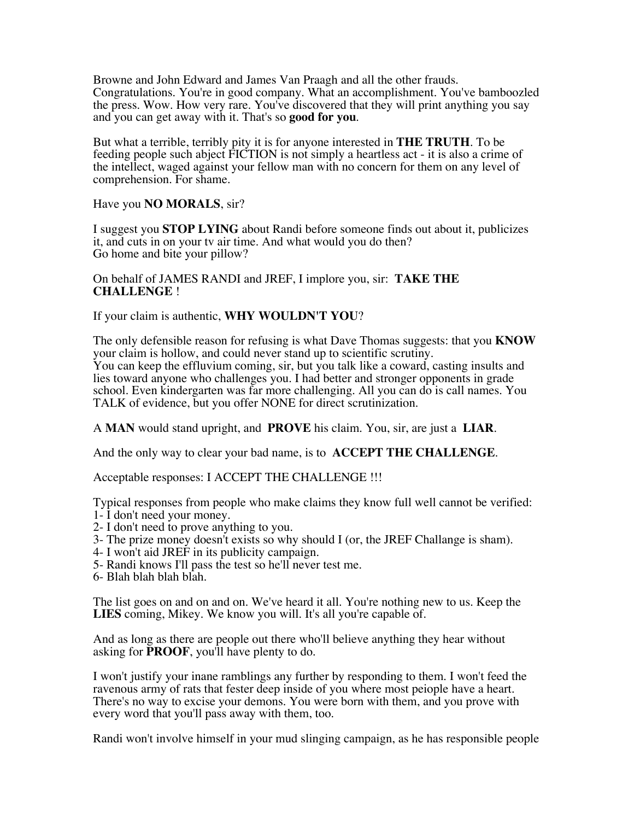Browne and John Edward and James Van Praagh and all the other frauds. Congratulations. You're in good company. What an accomplishment. You've bamboozled the press. Wow. How very rare. You've discovered that they will print anything you say and you can get away with it. That's so **good for you**.

But what a terrible, terribly pity it is for anyone interested in **THE TRUTH**. To be feeding people such abject FICTION is not simply a heartless act - it is also a crime of the intellect, waged against your fellow man with no concern for them on any level of comprehension. For shame.

Have you **NO MORALS**, sir?

I suggest you **STOP LYING** about Randi before someone finds out about it, publicizes it, and cuts in on your tv air time. And what would you do then? Go home and bite your pillow?

On behalf of JAMES RANDI and JREF, I implore you, sir: **TAKE THE CHALLENGE** !

If your claim is authentic, **WHY WOULDN'T YOU**?

The only defensible reason for refusing is what Dave Thomas suggests: that you **KNOW** your claim is hollow, and could never stand up to scientific scrutiny. You can keep the effluvium coming, sir, but you talk like a coward, casting insults and lies toward anyone who challenges you. I had better and stronger opponents in grade school. Even kindergarten was far more challenging. All you can do is call names. You TALK of evidence, but you offer NONE for direct scrutinization.

A **MAN** would stand upright, and **PROVE** his claim. You, sir, are just a **LIAR**.

And the only way to clear your bad name, is to **ACCEPT THE CHALLENGE**.

Acceptable responses: I ACCEPT THE CHALLENGE !!!

Typical responses from people who make claims they know full well cannot be verified: 1- I don't need your money.

- 2- I don't need to prove anything to you.
- 3- The prize money doesn't exists so why should I (or, the JREF Challange is sham).
- 4- I won't aid JREF in its publicity campaign.
- 5- Randi knows I'll pass the test so he'll never test me.
- 6- Blah blah blah blah.

The list goes on and on and on. We've heard it all. You're nothing new to us. Keep the **LIES** coming, Mikey. We know you will. It's all you're capable of.

And as long as there are people out there who'll believe anything they hear without asking for **PROOF**, you'll have plenty to do.

I won't justify your inane ramblings any further by responding to them. I won't feed the ravenous army of rats that fester deep inside of you where most peiople have a heart. There's no way to excise your demons. You were born with them, and you prove with every word that you'll pass away with them, too.

Randi won't involve himself in your mud slinging campaign, as he has responsible people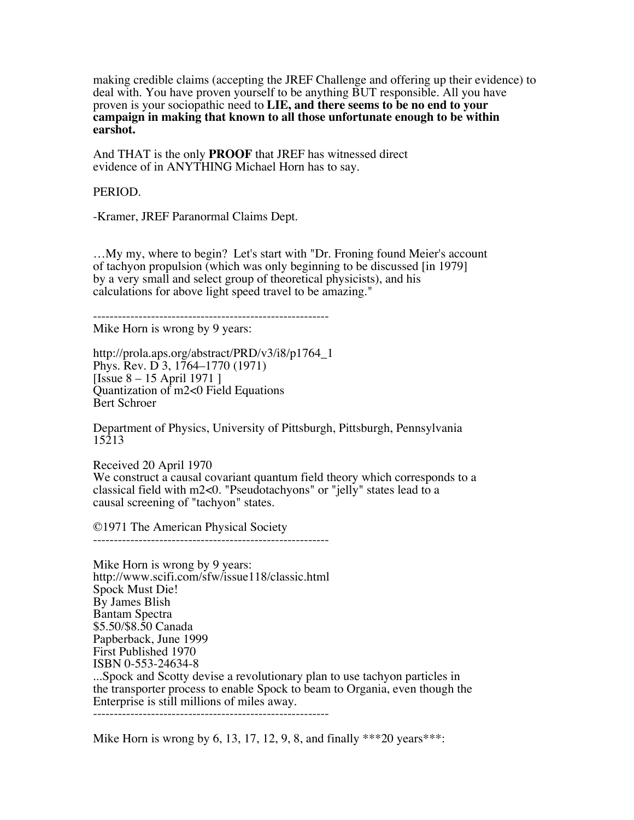making credible claims (accepting the JREF Challenge and offering up their evidence) to deal with. You have proven yourself to be anything BUT responsible. All you have proven is your sociopathic need to **LIE, and there seems to be no end to your campaign in making that known to all those unfortunate enough to be within earshot.**

And THAT is the only **PROOF** that JREF has witnessed direct evidence of in ANYTHING Michael Horn has to say.

PERIOD.

-Kramer, JREF Paranormal Claims Dept.

…My my, where to begin? Let's start with "Dr. Froning found Meier's account of tachyon propulsion (which was only beginning to be discussed [in 1979] by a very small and select group of theoretical physicists), and his calculations for above light speed travel to be amazing."

---------------------------------------------------------

Mike Horn is wrong by 9 years:

http://prola.aps.org/abstract/PRD/v3/i8/p1764\_1 Phys. Rev. D 3, 1764–1770 (1971) [Issue 8 – 15 April 1971 ] Quantization of m2<0 Field Equations Bert Schroer

Department of Physics, University of Pittsburgh, Pittsburgh, Pennsylvania 15213

Received 20 April 1970 We construct a causal covariant quantum field theory which corresponds to a classical field with m2<0. "Pseudotachyons" or "jelly" states lead to a causal screening of "tachyon" states.

©1971 The American Physical Society

---------------------------------------------------------

Mike Horn is wrong by 9 years: http://www.scifi.com/sfw/issue118/classic.html Spock Must Die! By James Blish Bantam Spectra \$5.50/\$8.50 Canada Papberback, June 1999 First Published 1970 ISBN 0-553-24634-8 ...Spock and Scotty devise a revolutionary plan to use tachyon particles in the transporter process to enable Spock to beam to Organia, even though the Enterprise is still millions of miles away. ---------------------------------------------------------

Mike Horn is wrong by 6, 13, 17, 12, 9, 8, and finally  $***20$  years $***$ :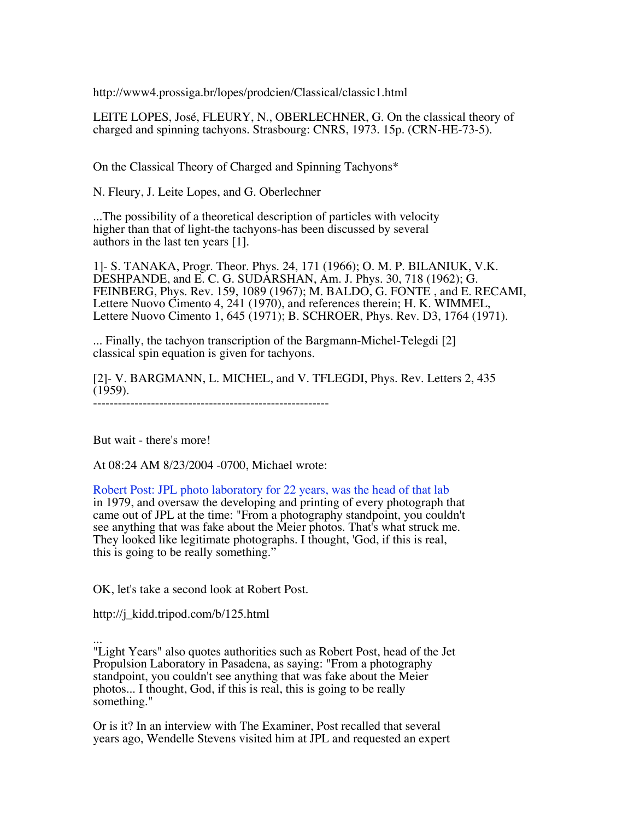http://www4.prossiga.br/lopes/prodcien/Classical/classic1.html

LEITE LOPES, José, FLEURY, N., OBERLECHNER, G. On the classical theory of charged and spinning tachyons. Strasbourg: CNRS, 1973. 15p. (CRN-HE-73-5).

On the Classical Theory of Charged and Spinning Tachyons\*

N. Fleury, J. Leite Lopes, and G. Oberlechner

...The possibility of a theoretical description of particles with velocity higher than that of light-the tachyons-has been discussed by several authors in the last ten years [1].

1]- S. TANAKA, Progr. Theor. Phys. 24, 171 (1966); O. M. P. BILANIUK, V.K. DESHPANDE, and E. C. G. SUDARSHAN, Am. J. Phys. 30, 718 (1962); G. FEINBERG, Phys. Rev. 159, 1089 (1967); M. BALDO, G. FONTE , and E. RECAMI, Lettere Nuovo Cimento 4, 241 (1970), and references therein; H. K. WIMMEL, Lettere Nuovo Cimento 1, 645 (1971); B. SCHROER, Phys. Rev. D3, 1764 (1971).

... Finally, the tachyon transcription of the Bargmann-Michel-Telegdi [2] classical spin equation is given for tachyons.

[2]- V. BARGMANN, L. MICHEL, and V. TFLEGDI, Phys. Rev. Letters 2, 435 (1959). ---------------------------------------------------------

But wait - there's more!

At 08:24 AM 8/23/2004 -0700, Michael wrote:

Robert Post: JPL photo laboratory for 22 years, was the head of that lab in 1979, and oversaw the developing and printing of every photograph that came out of JPL at the time: "From a photography standpoint, you couldn't see anything that was fake about the Meier photos. That's what struck me. They looked like legitimate photographs. I thought, 'God, if this is real, this is going to be really something."

OK, let's take a second look at Robert Post.

http://j\_kidd.tripod.com/b/125.html

... "Light Years" also quotes authorities such as Robert Post, head of the Jet Propulsion Laboratory in Pasadena, as saying: "From a photography standpoint, you couldn't see anything that was fake about the Meier photos... I thought, God, if this is real, this is going to be really something."

Or is it? In an interview with The Examiner, Post recalled that several years ago, Wendelle Stevens visited him at JPL and requested an expert